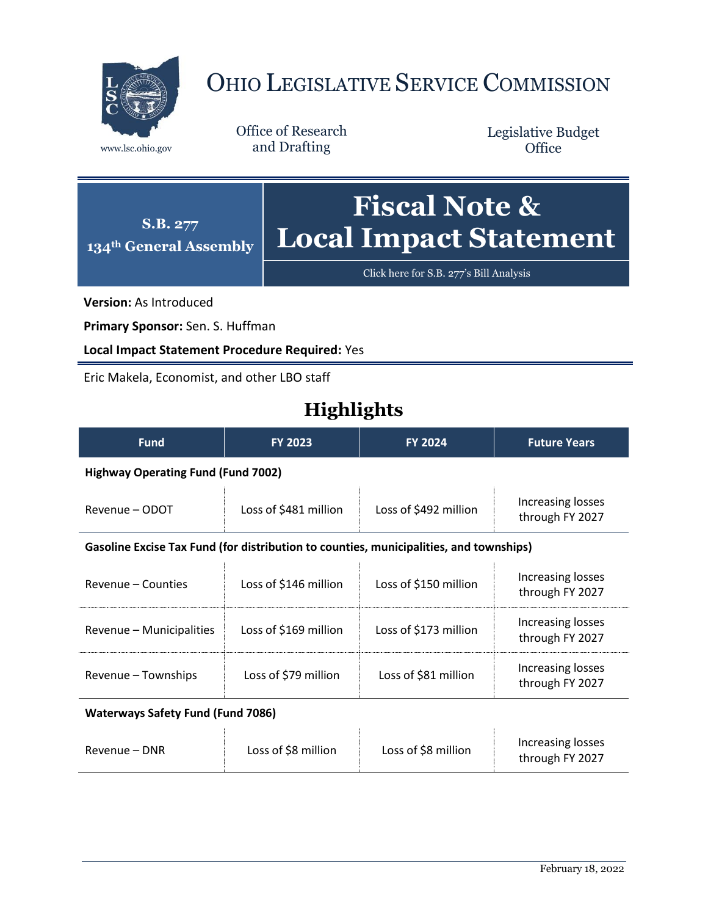

# OHIO LEGISLATIVE SERVICE COMMISSION

Office of Research www.lsc.ohio.gov and Drafting

Legislative Budget **Office** 

**S.B. 277 134th General Assembly Fiscal Note & Local Impact Statement**

[Click here for S.B. 277](https://www.legislature.ohio.gov/legislation/legislation-documents?id=GA134-SB-277)'s Bill Analysis

**Version:** As Introduced

**Primary Sponsor:** Sen. S. Huffman

**Local Impact Statement Procedure Required:** Yes

Eric Makela, Economist, and other LBO staff

## **Highlights**

| <b>Fund</b>                                                                            | <b>FY 2023</b>        | <b>FY 2024</b>        | <b>Future Years</b>                  |  |
|----------------------------------------------------------------------------------------|-----------------------|-----------------------|--------------------------------------|--|
| <b>Highway Operating Fund (Fund 7002)</b>                                              |                       |                       |                                      |  |
| Revenue – ODOT                                                                         | Loss of \$481 million | Loss of \$492 million | Increasing losses<br>through FY 2027 |  |
| Gasoline Excise Tax Fund (for distribution to counties, municipalities, and townships) |                       |                       |                                      |  |
| Revenue – Counties                                                                     | Loss of \$146 million | Loss of \$150 million | Increasing losses<br>through FY 2027 |  |
| Revenue - Municipalities                                                               | Loss of \$169 million | Loss of \$173 million | Increasing losses<br>through FY 2027 |  |
| Revenue - Townships                                                                    | Loss of \$79 million  | Loss of \$81 million  | Increasing losses<br>through FY 2027 |  |
| <b>Waterways Safety Fund (Fund 7086)</b>                                               |                       |                       |                                      |  |
| Revenue – DNR                                                                          | Loss of \$8 million   | Loss of \$8 million   | Increasing losses<br>through FY 2027 |  |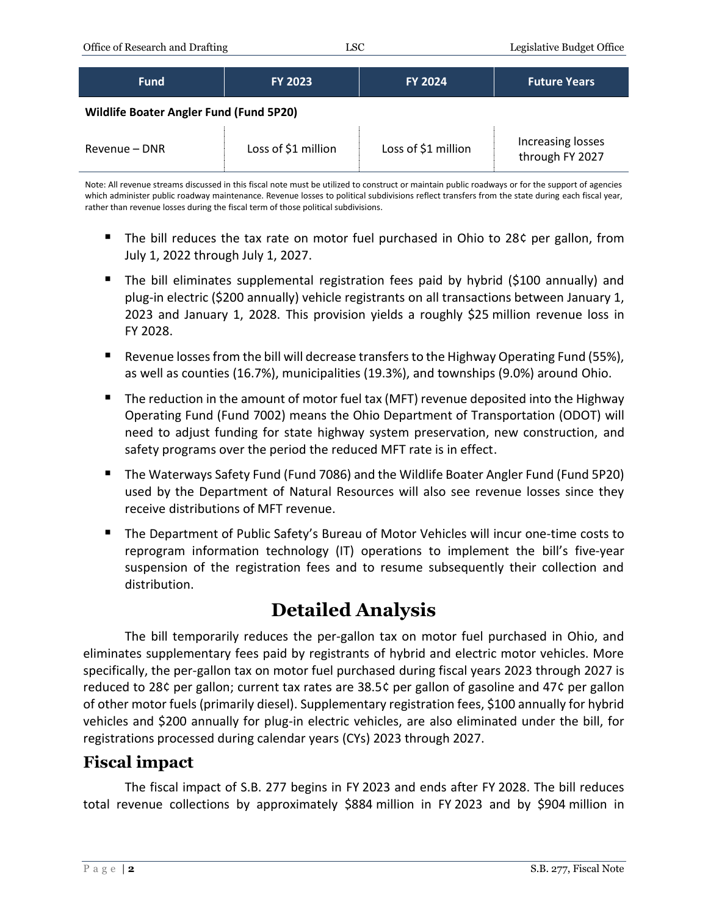| <b>Fund</b>                                    | <b>FY 2023</b>      | <b>FY 2024</b>      | <b>Future Years</b>                  |  |  |
|------------------------------------------------|---------------------|---------------------|--------------------------------------|--|--|
| <b>Wildlife Boater Angler Fund (Fund 5P20)</b> |                     |                     |                                      |  |  |
| Revenue – DNR                                  | Loss of \$1 million | Loss of \$1 million | Increasing losses<br>through FY 2027 |  |  |

Note: All revenue streams discussed in this fiscal note must be utilized to construct or maintain public roadways or for the support of agencies which administer public roadway maintenance. Revenue losses to political subdivisions reflect transfers from the state during each fiscal year, rather than revenue losses during the fiscal term of those political subdivisions.

- The bill reduces the tax rate on motor fuel purchased in Ohio to 28¢ per gallon, from July 1, 2022 through July 1, 2027.
- The bill eliminates supplemental registration fees paid by hybrid (\$100 annually) and plug-in electric (\$200 annually) vehicle registrants on all transactions between January 1, 2023 and January 1, 2028. This provision yields a roughly \$25 million revenue loss in FY 2028.
- Revenue losses from the bill will decrease transfers to the Highway Operating Fund (55%), as well as counties (16.7%), municipalities (19.3%), and townships (9.0%) around Ohio.
- The reduction in the amount of motor fuel tax (MFT) revenue deposited into the Highway Operating Fund (Fund 7002) means the Ohio Department of Transportation (ODOT) will need to adjust funding for state highway system preservation, new construction, and safety programs over the period the reduced MFT rate is in effect.
- The Waterways Safety Fund (Fund 7086) and the Wildlife Boater Angler Fund (Fund 5P20) used by the Department of Natural Resources will also see revenue losses since they receive distributions of MFT revenue.
- The Department of Public Safety's Bureau of Motor Vehicles will incur one-time costs to reprogram information technology (IT) operations to implement the bill's five-year suspension of the registration fees and to resume subsequently their collection and distribution.

# **Detailed Analysis**

The bill temporarily reduces the per-gallon tax on motor fuel purchased in Ohio, and eliminates supplementary fees paid by registrants of hybrid and electric motor vehicles. More specifically, the per-gallon tax on motor fuel purchased during fiscal years 2023 through 2027 is reduced to 28¢ per gallon; current tax rates are 38.5¢ per gallon of gasoline and 47¢ per gallon of other motor fuels (primarily diesel). Supplementary registration fees, \$100 annually for hybrid vehicles and \$200 annually for plug-in electric vehicles, are also eliminated under the bill, for registrations processed during calendar years (CYs) 2023 through 2027.

### **Fiscal impact**

The fiscal impact of S.B. 277 begins in FY 2023 and ends after FY 2028. The bill reduces total revenue collections by approximately \$884 million in FY 2023 and by \$904 million in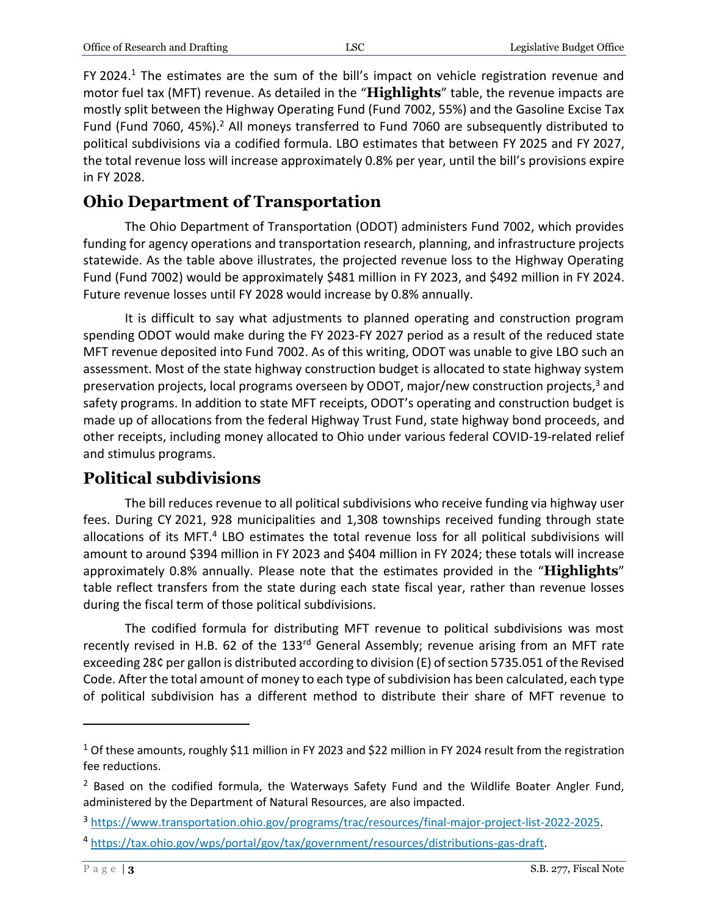FY 2024.<sup>1</sup> The estimates are the sum of the bill's impact on vehicle registration revenue and motor fuel tax (MFT) revenue. As detailed in the "**Highlights**" table, the revenue impacts are mostly split between the Highway Operating Fund (Fund 7002, 55%) and the Gasoline Excise Tax Fund (Fund 7060, 45%).<sup>2</sup> All moneys transferred to Fund 7060 are subsequently distributed to political subdivisions via a codified formula. LBO estimates that between FY 2025 and FY 2027, the total revenue loss will increase approximately 0.8% per year, until the bill's provisions expire in FY 2028.

## **Ohio Department of Transportation**

The Ohio Department of Transportation (ODOT) administers Fund 7002, which provides funding for agency operations and transportation research, planning, and infrastructure projects statewide. As the table above illustrates, the projected revenue loss to the Highway Operating Fund (Fund 7002) would be approximately \$481 million in FY 2023, and \$492 million in FY 2024. Future revenue losses until FY 2028 would increase by 0.8% annually.

It is difficult to say what adjustments to planned operating and construction program spending ODOT would make during the FY 2023-FY 2027 period as a result of the reduced state MFT revenue deposited into Fund 7002. As of this writing, ODOT was unable to give LBO such an assessment. Most of the state highway construction budget is allocated to state highway system preservation projects, local programs overseen by ODOT, major/new construction projects,<sup>3</sup> and safety programs. In addition to state MFT receipts, ODOT's operating and construction budget is made up of allocations from the federal Highway Trust Fund, state highway bond proceeds, and other receipts, including money allocated to Ohio under various federal COVID-19-related relief and stimulus programs.

### **Political subdivisions**

The bill reduces revenue to all political subdivisions who receive funding via highway user fees. During CY 2021, 928 municipalities and 1,308 townships received funding through state allocations of its MFT.<sup>4</sup> LBO estimates the total revenue loss for all political subdivisions will amount to around \$394 million in FY 2023 and \$404 million in FY 2024; these totals will increase approximately 0.8% annually. Please note that the estimates provided in the "**Highlights**" table reflect transfers from the state during each state fiscal year, rather than revenue losses during the fiscal term of those political subdivisions.

The codified formula for distributing MFT revenue to political subdivisions was most recently revised in H.B. 62 of the 133<sup>rd</sup> General Assembly; revenue arising from an MFT rate exceeding 28¢ per gallon is distributed according to division (E) of section 5735.051 of the Revised Code. After the total amount of money to each type of subdivision has been calculated, each type of political subdivision has a different method to distribute their share of MFT revenue to

 $\overline{a}$ 

<sup>&</sup>lt;sup>1</sup> Of these amounts, roughly \$11 million in FY 2023 and \$22 million in FY 2024 result from the registration fee reductions.

 $2$  Based on the codified formula, the Waterways Safety Fund and the Wildlife Boater Angler Fund, administered by the Department of Natural Resources, are also impacted.

<sup>3</sup> [https://www.transportation.ohio.gov/programs/trac/resources/final-major-project-list-2022-2025.](https://www.transportation.ohio.gov/programs/trac/resources/final-major-project-list-2022-2025)

<sup>4</sup> [https://tax.ohio.gov/wps/portal/gov/tax/government/resources/distributions-gas-draft.](https://tax.ohio.gov/wps/portal/gov/tax/government/resources/distributions-gas-draft)